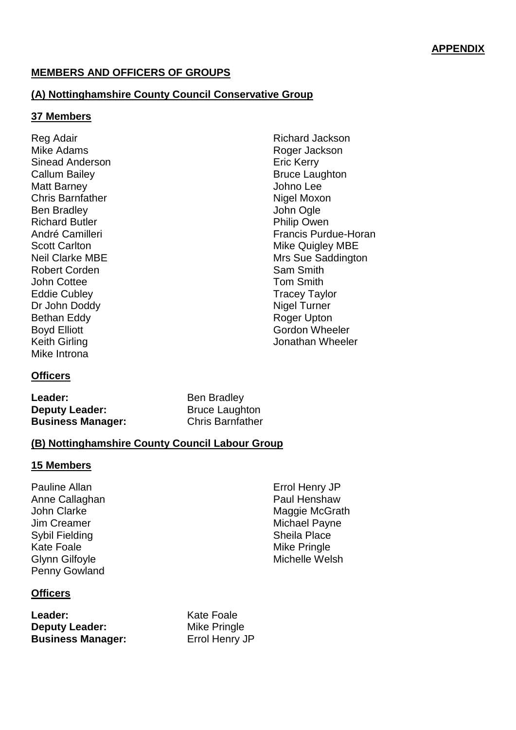## **MEMBERS AND OFFICERS OF GROUPS**

## **(A) Nottinghamshire County Council Conservative Group**

#### **37 Members**

Reg Adair Mike Adams Sinead Anderson Callum Bailey Matt Barney Chris Barnfather Ben Bradley Richard Butler André Camilleri Scott Carlton Neil Clarke MBE Robert Corden John Cottee Eddie Cubley Dr John Doddy Bethan Eddy Boyd Elliott Keith Girling Mike Introna

### Richard Jackson Roger Jackson Eric Kerry Bruce Laughton Johno Lee Nigel Moxon John Ogle Philip Owen Francis Purdue-Horan Mike Quigley MBE Mrs Sue Saddington Sam Smith Tom Smith Tracey Taylor Nigel Turner Roger Upton Gordon Wheeler Jonathan Wheeler

### **Officers**

Leader: Ben Bradley **Deputy Leader:** Bruce Laughton **Business Manager:** Chris Barnfather

#### **(B) Nottinghamshire County Council Labour Group**

#### **15 Members**

Pauline Allan Anne Callaghan John Clarke Jim Creamer Sybil Fielding Kate Foale Glynn Gilfoyle Penny Gowland

Errol Henry JP Paul Henshaw Maggie McGrath Michael Payne Sheila Place Mike Pringle Michelle Welsh

### **Officers**

Leader: Kate Foale **Deputy Leader:** Mike Pringle **Business Manager:** Errol Henry JP